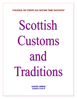**COLEGIUL DE STIINTE ALE NATURII "EMIL RACOVITA"** 

# Scottish Customs and Traditions

**AXINTE LORENA** CIASA A XI-A F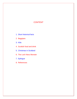# **CONTENT**

- 1. Short historical facts
- 2. Bagpipes
- 3. Kilts
- 4. Scottish food and drink
- 5. Christmas in Scotland
- 6. The Loch Ness Monster
- 7. Epilogue
- 8. References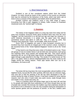### 1. Short historical facts

 Scotland is one of four constituent nations which form the United Kingdom. Its visitor should be aware of the customs of the country as otherwise they may be confused by the behaviour of the Scots, which may seem odd at times if one is unaware of the traditions and beliefs which lie behind them.

 Scottish customs and traditions cover a very wide range of topics. Everything from kilts to golf, bagpipes to whisky, Celtic crosses to Protestant missionary work, the "second sight" to Nessie.

### 2. Bagpipes

 The history of the bagpipes takes us a long way back from today and far away from Scotland. Everyone thinks about Scotland when they hear the word "bagpipe", but this instrument is so old that true age and origin are unknown. In some historical documents it is written that the pipes were first played somewhere around Asia Minor in 1000 BC. Also, it is said, by some, that "Emperor Nero played the "Pipes" not the fiddle, while Rome burned."

 Some 'form' of bagpipes are used in many European countries but in Scotland they have become an integral part of the country's culture. Scotland is the ancestral home of the "Great Highland Bagpipes" known to all as the "Great Pipes".

 A Pipe band is one thing that every visitor of Scotland wants to see. These are groups of men (in modern times it can be both men and women); each group has matching skirts, fancy jackets and strange little hats. They march around squeezing the air out of big tartan bags (known as bagpipes) and blowing it in again through a pipe attached to the bag. This results in a racket known as "the skirl o' the pipes" which is almost indistinguishable from the noise made by the haggis during the mating season. These pipe bands often turn out to be Australians, not Scots at all!

### 3. Kilts

 The tartan kilt has long been the most recognizable cultural tradition of the Highland Scots, but just like the other symbols, kilts have also an unknown origin. One sure fact is that the wearing of the kilt has been developed in the  $19<sup>th</sup>$ century during the reign of Queen Victoria. It had been created for some rational reasons: men who wore it could make very quick moves, wade through rivers and shelter in huts, woods and rocks, etc.

 There is a question which will always linger next to the word 'kilt' and that is: Do people who wear kilts have underwear or not? Even though there are lots of people who consider this immoral, the tradition says that underwear should not be present if one is dressed in a kilt, the only exception being the participation to some sportive games and the presence of women. In the 50's, soldiers were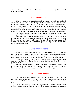verified if they wore underwear by their sergents who used a long stick that had in the top a mirror.

### 4. Scottish food and drink

Other two reasons for which Scotland is famous are its traditional food and of course, whisky. No one could argue that traditional Scottish cooking has produced one of the great cuisines of the world. The quality of the ingredients has always been excellent: the world's finest seafood including shellfish, lobster and crabs, and varieties of fish too numerous to mention; succulent lamb and beef; soft fruit including raspberries, strawberries and blackberries and a host of locally produced types of cheese, including cheddar from Ayrshire and Galloway.

 The national dish is the haggis, a type of food that combines mutton with other ingredients and which is served with turnip and potatoes.

 Whisky has been produced in Scotland for hundreds of years. It is well known that the Irish created this alcoholic drink, but the Scots were the ones who brought it to the form that we drink today. Whisky refers to a broad category of alcoholic beverages that are distilled from grains and aged in oak casks. The name means water of life.

### 5. Christmas in Scotland

 Although Scotland has so many traditions, its Christmas is not too different from the others. Anyway, there are some interesting things to talk about. For example, children write letters to Santa, but they don't leave it by the window, they burn it in their chimneys so that the information goes straightly to Lapland.

 Beside the traditional Christmas tree that everyone decorates, Scots also decorate their houses so that in December almost all the buildings shine in the gloom of night.

 Another interesting fact is that the people who get presents unwrap the paper carefully so that they can use it again. This is not such a bad thing if we take into account how many trees are annually being cut for paper.

### 7. The Loch Ness Monster

 The Loch Ness Monster was firstly spotted by the Vikings around year 500 BC. The legend tells that St. Columba heard about the monster's murder of a man and he ran to the center of the water to order the monster not to hurt anyone else.

 The monster was also seen during the last century but the poor man who sighted the beast was so shocked that he did not speak much about the incident.